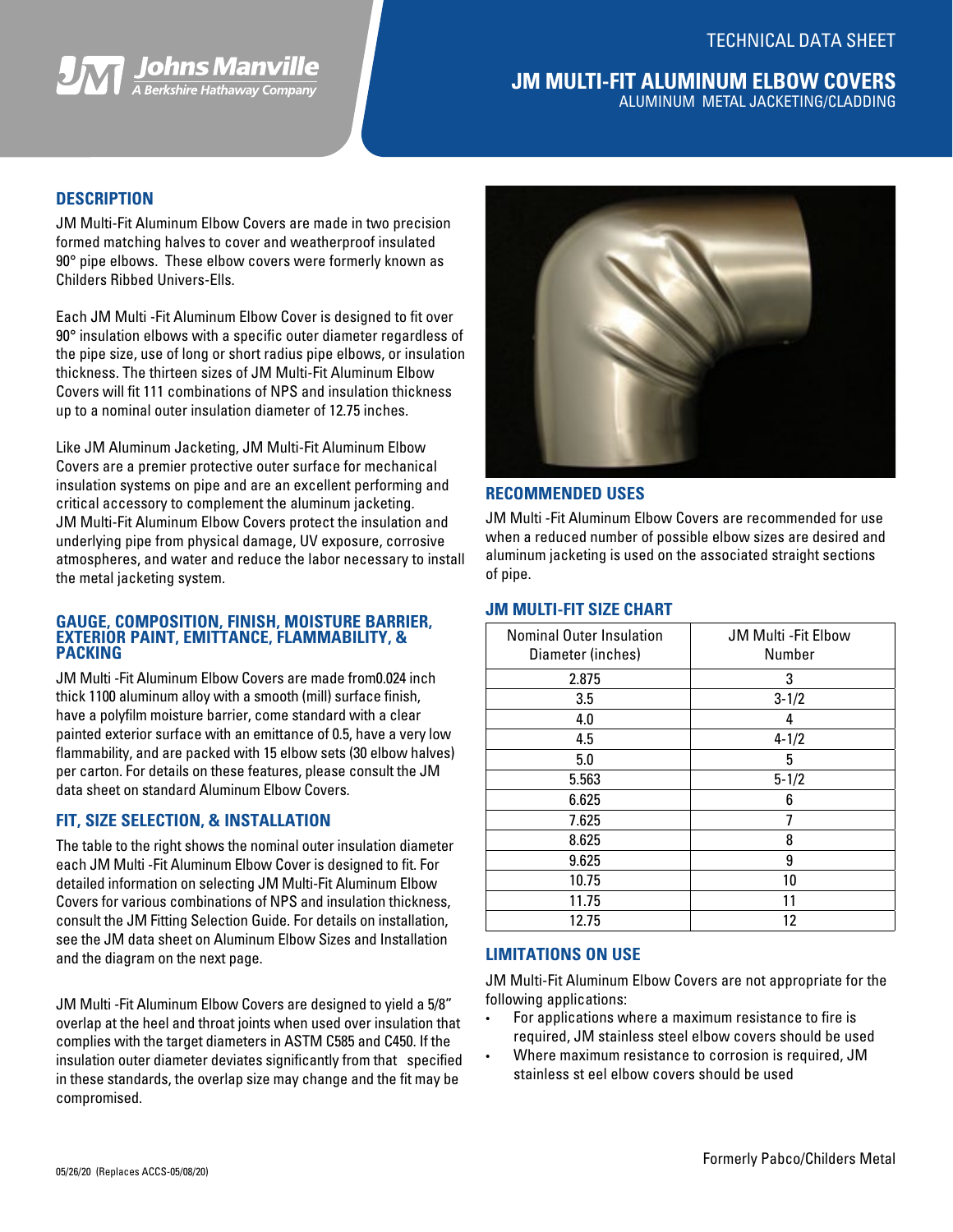



## **JM MULTI-FIT ALUMINUM ELBOW COVERS** ALUMINUM METAL JACKETING/CLADDING

### **DESCRIPTION**

JM Multi-Fit Aluminum Elbow Covers are made in two precision formed matching halves to cover and weatherproof insulated 90° pipe elbows. These elbow covers were formerly known as Childers Ribbed Univers-Ells.

Each JM Multi -Fit Aluminum Elbow Cover is designed to fit over 90° insulation elbows with a specific outer diameter regardless of the pipe size, use of long or short radius pipe elbows, or insulation thickness. The thirteen sizes of JM Multi-Fit Aluminum Elbow Covers will fit 111 combinations of NPS and insulation thickness up to a nominal outer insulation diameter of 12.75 inches.

Like JM Aluminum Jacketing, JM Multi-Fit Aluminum Elbow Covers are a premier protective outer surface for mechanical insulation systems on pipe and are an excellent performing and critical accessory to complement the aluminum jacketing. JM Multi-Fit Aluminum Elbow Covers protect the insulation and underlying pipe from physical damage, UV exposure, corrosive atmospheres, and water and reduce the labor necessary to install the metal jacketing system.

#### **GAUGE, COMPOSITION, FINISH, MOISTURE BARRIER, EXTERIOR PAINT, EMITTANCE, FLAMMABILITY, & PACKING**

JM Multi -Fit Aluminum Elbow Covers are made from0.024 inch thick 1100 aluminum alloy with a smooth (mill) surface finish, have a polyfilm moisture barrier, come standard with a clear painted exterior surface with an emittance of 0.5, have a very low flammability, and are packed with 15 elbow sets (30 elbow halves) per carton. For details on these features, please consult the JM data sheet on standard Aluminum Elbow Covers.

## **FIT, SIZE SELECTION, & INSTALLATION**

The table to the right shows the nominal outer insulation diameter each JM Multi -Fit Aluminum Elbow Cover is designed to fit. For detailed information on selecting JM Multi-Fit Aluminum Elbow Covers for various combinations of NPS and insulation thickness, consult the JM Fitting Selection Guide. For details on installation, see the JM data sheet on Aluminum Elbow Sizes and Installation and the diagram on the next page.

JM Multi -Fit Aluminum Elbow Covers are designed to yield a 5/8" overlap at the heel and throat joints when used over insulation that complies with the target diameters in ASTM C585 and C450. If the insulation outer diameter deviates significantly from that specified in these standards, the overlap size may change and the fit may be compromised.



### **RECOMMENDED USES**

JM Multi -Fit Aluminum Elbow Covers are recommended for use when a reduced number of possible elbow sizes are desired and aluminum jacketing is used on the associated straight sections of pipe.

### **JM MULTI-FIT SIZE CHART**

| <b>Nominal Outer Insulation</b><br>Diameter (inches) | <b>JM Multi - Fit Elbow</b><br>Number |  |  |  |  |
|------------------------------------------------------|---------------------------------------|--|--|--|--|
| 2.875                                                | 3                                     |  |  |  |  |
| 3.5                                                  | $3 - 1/2$                             |  |  |  |  |
| 4.0                                                  | 4                                     |  |  |  |  |
| 4.5                                                  | $4 - 1/2$                             |  |  |  |  |
| 5.0                                                  | 5                                     |  |  |  |  |
| 5.563                                                | $5 - 1/2$                             |  |  |  |  |
| 6.625                                                | 6                                     |  |  |  |  |
| 7.625                                                |                                       |  |  |  |  |
| 8.625                                                | 8                                     |  |  |  |  |
| 9.625                                                | 9                                     |  |  |  |  |
| 10.75                                                | 10                                    |  |  |  |  |
| 11.75                                                | 11                                    |  |  |  |  |
| 12.75                                                | 12                                    |  |  |  |  |

### **LIMITATIONS ON USE**

JM Multi-Fit Aluminum Elbow Covers are not appropriate for the following applications:

- For applications where a maximum resistance to fire is required, JM stainless steel elbow covers should be used
- Where maximum resistance to corrosion is required, JM stainless st eel elbow covers should be used